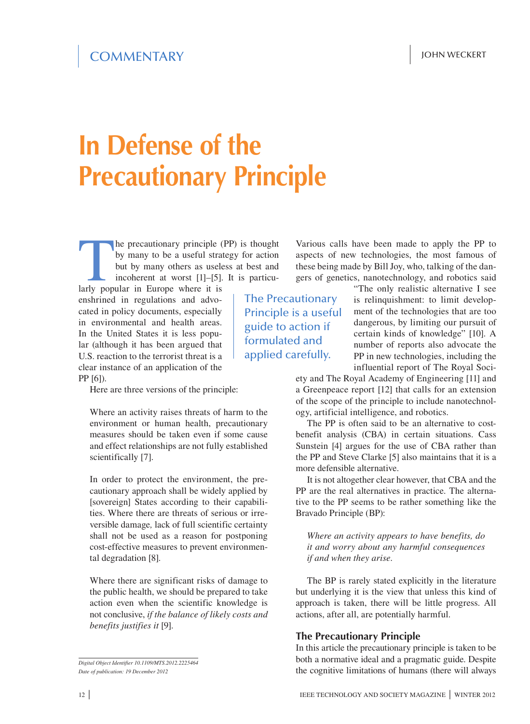# **In Defense of the Precautionary Principle**

he precautionary principle (PP) is thought by many to be a useful strategy for action but by many others as useless at best and incoherent at worst [1]–[5]. It is particu-

larly popular in Europe where it is enshrined in regulations and advocated in policy documents, especially in environmental and health areas. In the United States it is less popular (although it has been argued that U.S. reaction to the terrorist threat is a clear instance of an application of the PP [6]).

Here are three versions of the principle:

Where an activity raises threats of harm to the environment or human health, precautionary measures should be taken even if some cause and effect relationships are not fully established scientifically [7].

In order to protect the environment, the precautionary approach shall be widely applied by [sovereign] States according to their capabilities. Where there are threats of serious or irreversible damage*,* lack of full scientific certainty shall not be used as a reason for postponing cost-effective measures to prevent environmental degradation [8].

Where there are significant risks of damage to the public health, we should be prepared to take action even when the scientific knowledge is not conclusive, *if the balance of likely costs and benefits justifies it* [9].

*Digital Object Identifier 10.1109/MTS.2012.2225464 Date of publication: 19 December 2012*

Various calls have been made to apply the PP to aspects of new technologies, the most famous of these being made by Bill Joy, who, talking of the dangers of genetics, nanotechnology, and robotics said

The Precautionary Principle is a useful guide to action if formulated and applied carefully.

"The only realistic alternative I see is relinquishment: to limit development of the technologies that are too dangerous, by limiting our pursuit of certain kinds of knowledge" [10]. A number of reports also advocate the PP in new technologies, including the influential report of The Royal Soci-

ety and The Royal Academy of Engineering [11] and a Greenpeace report [12] that calls for an extension of the scope of the principle to include nanotechnology, artificial intelligence, and robotics.

The PP is often said to be an alternative to costbenefit analysis (CBA) in certain situations. Cass Sunstein [4] argues for the use of CBA rather than the PP and Steve Clarke [5] also maintains that it is a more defensible alternative.

It is not altogether clear however, that CBA and the PP are the real alternatives in practice. The alternative to the PP seems to be rather something like the Bravado Principle (BP):

*Where an activity appears to have benefits, do it and worry about any harmful consequences if and when they arise.*

The BP is rarely stated explicitly in the literature but underlying it is the view that unless this kind of approach is taken, there will be little progress. All actions, after all, are potentially harmful.

## **The Precautionary Principle**

In this article the precautionary principle is taken to be both a normative ideal and a pragmatic guide. Despite the cognitive limitations of humans (there will always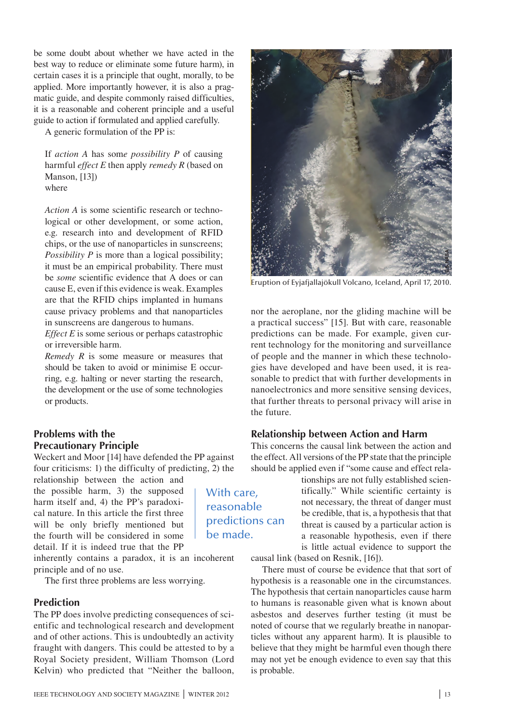be some doubt about whether we have acted in the best way to reduce or eliminate some future harm), in certain cases it is a principle that ought, morally, to be applied. More importantly however, it is also a pragmatic guide, and despite commonly raised difficulties, it is a reasonable and coherent principle and a useful guide to action if formulated and applied carefully.

A generic formulation of the PP is:

If *action A* has som*e possibility P* of causing harmful *effect E* then apply *remedy R* (based on Manson, [13]) where

*Action A* is some scientific research or technological or other development, or some action, e.g. research into and development of RFID chips, or the use of nanoparticles in sunscreens; *Possibility P* is more than a logical possibility; it must be an empirical probability. There must be *some* scientific evidence that A does or can cause E, even if this evidence is weak. Examples are that the RFID chips implanted in humans cause privacy problems and that nanoparticles in sunscreens are dangerous to humans.

*Effect E* is some serious or perhaps catastrophic or irreversible harm.

*Remedy R* is some measure or measures that should be taken to avoid or minimise E occurring, e.g. halting or never starting the research, the development or the use of some technologies or products.

## **Problems with the Precautionary Principle**

Weckert and Moor [14] have defended the PP against four criticisms: 1) the difficulty of predicting, 2) the

relationship between the action and the possible harm, 3) the supposed harm itself and, 4) the PP's paradoxical nature. In this article the first three will be only briefly mentioned but the fourth will be considered in some detail. If it is indeed true that the PP

inherently contains a paradox, it is an incoherent principle and of no use.

The first three problems are less worrying.

## **Prediction**

The PP does involve predicting consequences of scientific and technological research and development and of other actions. This is undoubtedly an activity fraught with dangers. This could be attested to by a Royal Society president, William Thomson (Lord Kelvin) who predicted that "Neither the balloon,





Eruption of Eyjafjallajökull Volcano, Iceland, April 17, 2010.

nor the aeroplane, nor the gliding machine will be a practical success" [15]. But with care, reasonable predictions can be made. For example, given current technology for the monitoring and surveillance of people and the manner in which these technologies have developed and have been used, it is reasonable to predict that with further developments in nanoelectronics and more sensitive sensing devices, that further threats to personal privacy will arise in the future.

## **Relationship between Action and Harm**

This concerns the causal link between the action and the effect. All versions of the PP state that the principle should be applied even if "some cause and effect rela-

> tionships are not fully established scientifically." While scientific certainty is not necessary, the threat of danger must be credible, that is, a hypothesis that that threat is caused by a particular action is a reasonable hypothesis, even if there is little actual evidence to support the

causal link (based on Resnik, [16]).

There must of course be evidence that that sort of hypothesis is a reasonable one in the circumstances. The hypothesis that certain nanoparticles cause harm to humans is reasonable given what is known about asbestos and deserves further testing (it must be noted of course that we regularly breathe in nanoparticles without any apparent harm). It is plausible to believe that they might be harmful even though there may not yet be enough evidence to even say that this is probable.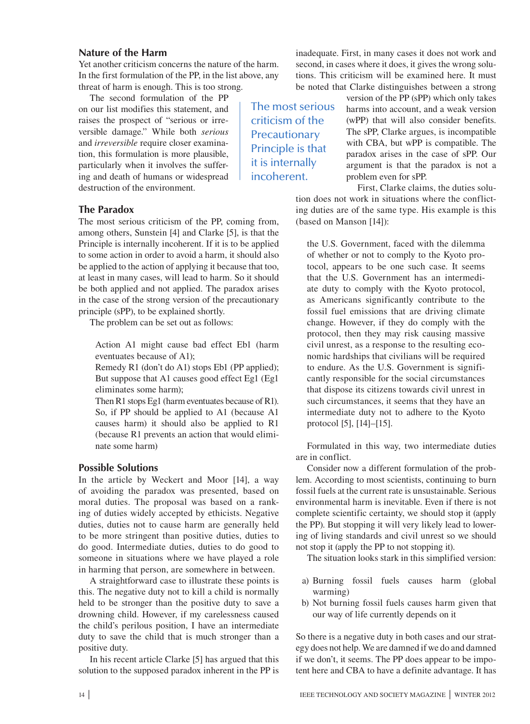# **Nature of the Harm**

Yet another criticism concerns the nature of the harm. In the first formulation of the PP, in the list above, any threat of harm is enough. This is too strong.

The second formulation of the PP on our list modifies this statement, and raises the prospect of "serious or irreversible damage." While both *serious* and *irreversible* require closer examination, this formulation is more plausible, particularly when it involves the suffering and death of humans or widespread destruction of the environment.

#### **The Paradox**

The most serious criticism of the PP, coming from, among others, Sunstein [4] and Clarke [5], is that the Principle is internally incoherent. If it is to be applied to some action in order to avoid a harm, it should also be applied to the action of applying it because that too, at least in many cases, will lead to harm. So it should be both applied and not applied. The paradox arises in the case of the strong version of the precautionary principle (sPP), to be explained shortly.

The problem can be set out as follows:

 Action A1 might cause bad effect Eb1 (harm eventuates because of A1);

 Remedy R1 (don't do A1) stops Eb1 (PP applied); But suppose that A1 causes good effect Eg1 (Eg1 eliminates some harm);

 Then R1 stops Eg1 (harm eventuates because of R1). So, if PP should be applied to A1 (because A1 causes harm) it should also be applied to R1 (because R1 prevents an action that would eliminate some harm)

#### **Possible Solutions**

In the article by Weckert and Moor [14], a way of avoiding the paradox was presented, based on moral duties. The proposal was based on a ranking of duties widely accepted by ethicists. Negative duties, duties not to cause harm are generally held to be more stringent than positive duties, duties to do good. Intermediate duties, duties to do good to someone in situations where we have played a role in harming that person, are somewhere in between.

A straightforward case to illustrate these points is this. The negative duty not to kill a child is normally held to be stronger than the positive duty to save a drowning child. However, if my carelessness caused the child's perilous position, I have an intermediate duty to save the child that is much stronger than a positive duty.

In his recent article Clarke [5] has argued that this solution to the supposed paradox inherent in the PP is inadequate. First, in many cases it does not work and second, in cases where it does, it gives the wrong solutions. This criticism will be examined here. It must be noted that Clarke distinguishes between a strong

The most serious criticism of the **Precautionary** Principle is that it is internally incoherent.

version of the PP (sPP) which only takes harms into account, and a weak version (wPP) that will also consider benefits. The sPP, Clarke argues, is incompatible with CBA, but wPP is compatible. The paradox arises in the case of sPP. Our argument is that the paradox is not a problem even for sPP.

First, Clarke claims, the duties solution does not work in situations where the conflicting duties are of the same type. His example is this (based on Manson [14]):

the U.S. Government, faced with the dilemma of whether or not to comply to the Kyoto protocol, appears to be one such case. It seems that the U.S. Government has an intermediate duty to comply with the Kyoto protocol, as Americans significantly contribute to the fossil fuel emissions that are driving climate change. However, if they do comply with the protocol, then they may risk causing massive civil unrest, as a response to the resulting economic hardships that civilians will be required to endure. As the U.S. Government is significantly responsible for the social circumstances that dispose its citizens towards civil unrest in such circumstances, it seems that they have an intermediate duty not to adhere to the Kyoto protocol [5], [14]–[15].

Formulated in this way, two intermediate duties are in conflict.

Consider now a different formulation of the problem. According to most scientists, continuing to burn fossil fuels at the current rate is unsustainable. Serious environmental harm is inevitable. Even if there is not complete scientific certainty, we should stop it (apply the PP). But stopping it will very likely lead to lowering of living standards and civil unrest so we should not stop it (apply the PP to not stopping it).

The situation looks stark in this simplified version:

- a) Burning fossil fuels causes harm (global warming)
- b) Not burning fossil fuels causes harm given that our way of life currently depends on it

So there is a negative duty in both cases and our strategy does not help. We are damned if we do and damned if we don't, it seems. The PP does appear to be impotent here and CBA to have a definite advantage. It has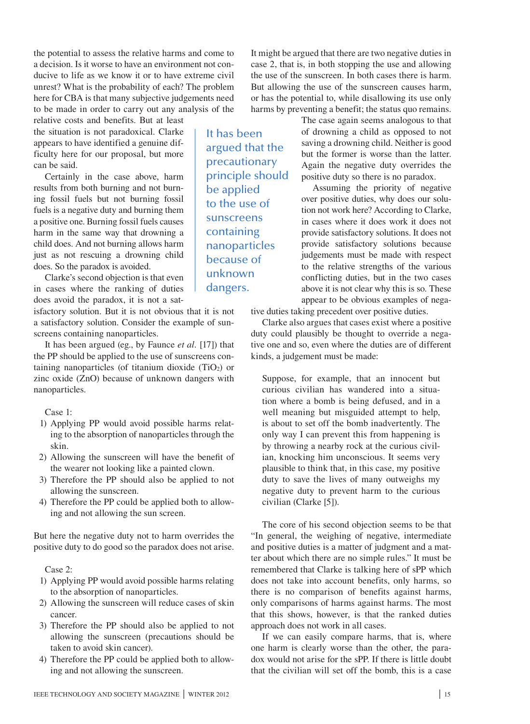the potential to assess the relative harms and come to a decision. Is it worse to have an environment not conducive to life as we know it or to have extreme civil unrest? What is the probability of each? The problem here for CBA is that many subjective judgements need to be made in order to carry out any analysis of the

relative costs and benefits. But at least the situation is not paradoxical. Clarke appears to have identified a genuine difficulty here for our proposal, but more can be said.

Certainly in the case above, harm results from both burning and not burning fossil fuels but not burning fossil fuels is a negative duty and burning them a positive one. Burning fossil fuels causes harm in the same way that drowning a child does. And not burning allows harm just as not rescuing a drowning child does. So the paradox is avoided.

Clarke's second objection is that even in cases where the ranking of duties does avoid the paradox, it is not a sat-

isfactory solution. But it is not obvious that it is not a satisfactory solution. Consider the example of sunscreens containing nanoparticles.

It has been argued (eg., by Faunce *et al.* [17]) that the PP should be applied to the use of sunscreens containing nanoparticles (of titanium dioxide  $(TiO<sub>2</sub>)$  or zinc oxide (ZnO) because of unknown dangers with nanoparticles.

Case 1:

- 1) Applying PP would avoid possible harms relating to the absorption of nanoparticles through the skin.
- 2) Allowing the sunscreen will have the benefit of the wearer not looking like a painted clown.
- 3) Therefore the PP should also be applied to not allowing the sunscreen.
- 4) Therefore the PP could be applied both to allowing and not allowing the sun screen.

But here the negative duty not to harm overrides the positive duty to do good so the paradox does not arise.

Case 2:

- 1) Applying PP would avoid possible harms relating to the absorption of nanoparticles.
- 2) Allowing the sunscreen will reduce cases of skin cancer.
- 3) Therefore the PP should also be applied to not allowing the sunscreen (precautions should be taken to avoid skin cancer).
- 4) Therefore the PP could be applied both to allowing and not allowing the sunscreen.

It has been argued that the precautionary principle should be applied to the use of sunscreens containing nanoparticles because of unknown dangers.

It might be argued that there are two negative duties in case 2, that is, in both stopping the use and allowing the use of the sunscreen. In both cases there is harm. But allowing the use of the sunscreen causes harm, or has the potential to, while disallowing its use only harms by preventing a benefit; the status quo remains.

> The case again seems analogous to that of drowning a child as opposed to not saving a drowning child. Neither is good but the former is worse than the latter. Again the negative duty overrides the positive duty so there is no paradox.

> Assuming the priority of negative over positive duties, why does our solution not work here? According to Clarke, in cases where it does work it does not provide satisfactory solutions. It does not provide satisfactory solutions because judgements must be made with respect to the relative strengths of the various conflicting duties, but in the two cases above it is not clear why this is so. These appear to be obvious examples of nega-

tive duties taking precedent over positive duties.

Clarke also argues that cases exist where a positive duty could plausibly be thought to override a negative one and so, even where the duties are of different kinds, a judgement must be made:

Suppose, for example, that an innocent but curious civilian has wandered into a situation where a bomb is being defused, and in a well meaning but misguided attempt to help, is about to set off the bomb inadvertently. The only way I can prevent this from happening is by throwing a nearby rock at the curious civilian, knocking him unconscious. It seems very plausible to think that, in this case, my positive duty to save the lives of many outweighs my negative duty to prevent harm to the curious civilian (Clarke [5]).

The core of his second objection seems to be that "In general, the weighing of negative, intermediate and positive duties is a matter of judgment and a matter about which there are no simple rules." It must be remembered that Clarke is talking here of sPP which does not take into account benefits, only harms, so there is no comparison of benefits against harms, only comparisons of harms against harms. The most that this shows, however, is that the ranked duties approach does not work in all cases.

If we can easily compare harms, that is, where one harm is clearly worse than the other, the paradox would not arise for the sPP. If there is little doubt that the civilian will set off the bomb, this is a case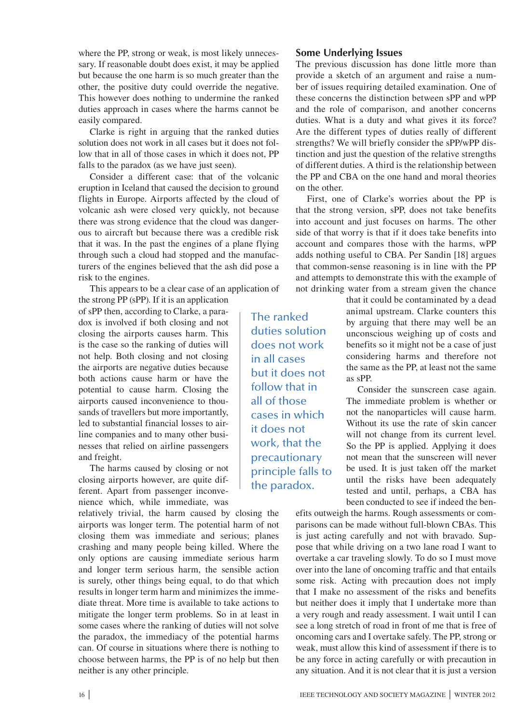where the PP, strong or weak, is most likely unnecessary. If reasonable doubt does exist, it may be applied but because the one harm is so much greater than the other, the positive duty could override the negative. This however does nothing to undermine the ranked duties approach in cases where the harms cannot be easily compared.

Clarke is right in arguing that the ranked duties solution does not work in all cases but it does not follow that in all of those cases in which it does not, PP falls to the paradox (as we have just seen).

Consider a different case: that of the volcanic eruption in Iceland that caused the decision to ground flights in Europe. Airports affected by the cloud of volcanic ash were closed very quickly, not because there was strong evidence that the cloud was dangerous to aircraft but because there was a credible risk that it was. In the past the engines of a plane flying through such a cloud had stopped and the manufacturers of the engines believed that the ash did pose a risk to the engines.

This appears to be a clear case of an application of

the strong PP (sPP). If it is an application of sPP then, according to Clarke, a paradox is involved if both closing and not closing the airports causes harm. This is the case so the ranking of duties will not help. Both closing and not closing the airports are negative duties because both actions cause harm or have the potential to cause harm. Closing the airports caused inconvenience to thousands of travellers but more importantly, led to substantial financial losses to airline companies and to many other businesses that relied on airline passengers and freight.

The harms caused by closing or not closing airports however, are quite different. Apart from passenger inconvenience which, while immediate, was

relatively trivial, the harm caused by closing the airports was longer term. The potential harm of not closing them was immediate and serious; planes crashing and many people being killed. Where the only options are causing immediate serious harm and longer term serious harm, the sensible action is surely, other things being equal, to do that which results in longer term harm and minimizes the immediate threat. More time is available to take actions to mitigate the longer term problems. So in at least in some cases where the ranking of duties will not solve the paradox, the immediacy of the potential harms can. Of course in situations where there is nothing to choose between harms, the PP is of no help but then neither is any other principle.

**Some Underlying Issues**

The previous discussion has done little more than provide a sketch of an argument and raise a number of issues requiring detailed examination. One of these concerns the distinction between sPP and wPP and the role of comparison, and another concerns duties. What is a duty and what gives it its force? Are the different types of duties really of different strengths? We will briefly consider the sPP/wPP distinction and just the question of the relative strengths of different duties. A third is the relationship between the PP and CBA on the one hand and moral theories on the other.

First, one of Clarke's worries about the PP is that the strong version, sPP, does not take benefits into account and just focuses on harms. The other side of that worry is that if it does take benefits into account and compares those with the harms, wPP adds nothing useful to CBA. Per Sandin [18] argues that common-sense reasoning is in line with the PP and attempts to demonstrate this with the example of not drinking water from a stream given the chance

that it could be contaminated by a dead animal upstream. Clarke counters this by arguing that there may well be an unconscious weighing up of costs and benefits so it might not be a case of just considering harms and therefore not the same as the PP, at least not the same as sPP.

Consider the sunscreen case again. The immediate problem is whether or not the nanoparticles will cause harm. Without its use the rate of skin cancer will not change from its current level. So the PP is applied. Applying it does not mean that the sunscreen will never be used. It is just taken off the market until the risks have been adequately tested and until, perhaps, a CBA has been conducted to see if indeed the ben-

efits outweigh the harms. Rough assessments or comparisons can be made without full-blown CBAs. This is just acting carefully and not with bravado. Suppose that while driving on a two lane road I want to overtake a car traveling slowly. To do so I must move over into the lane of oncoming traffic and that entails some risk. Acting with precaution does not imply that I make no assessment of the risks and benefits but neither does it imply that I undertake more than a very rough and ready assessment. I wait until I can see a long stretch of road in front of me that is free of oncoming cars and I overtake safely. The PP, strong or weak, must allow this kind of assessment if there is to be any force in acting carefully or with precaution in any situation. And it is not clear that it is just a version

duties solution does not work in all cases but it does not follow that in all of those cases in which it does not work, that the precautionary principle falls to the paradox.

The ranked